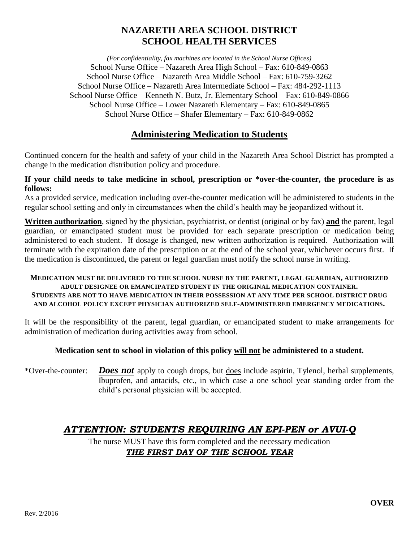# **NAZARETH AREA SCHOOL DISTRICT SCHOOL HEALTH SERVICES**

*(For confidentiality, fax machines are located in the School Nurse Offices)* School Nurse Office – Nazareth Area High School – Fax: 610-849-0863 School Nurse Office – Nazareth Area Middle School – Fax: 610-759-3262 School Nurse Office – Nazareth Area Intermediate School – Fax: 484-292-1113 School Nurse Office – Kenneth N. Butz, Jr. Elementary School – Fax: 610-849-0866 School Nurse Office – Lower Nazareth Elementary – Fax: 610-849-0865 School Nurse Office – Shafer Elementary – Fax: 610-849-0862

## **Administering Medication to Students**

Continued concern for the health and safety of your child in the Nazareth Area School District has prompted a change in the medication distribution policy and procedure.

### **If your child needs to take medicine in school, prescription or \*over-the-counter, the procedure is as follows:**

As a provided service, medication including over-the-counter medication will be administered to students in the regular school setting and only in circumstances when the child's health may be jeopardized without it.

**Written authorization**, signed by the physician, psychiatrist, or dentist (original or by fax) **and** the parent, legal guardian, or emancipated student must be provided for each separate prescription or medication being administered to each student. If dosage is changed, new written authorization is required. Authorization will terminate with the expiration date of the prescription or at the end of the school year, whichever occurs first. If the medication is discontinued, the parent or legal guardian must notify the school nurse in writing.

#### **MEDICATION MUST BE DELIVERED TO THE SCHOOL NURSE BY THE PARENT, LEGAL GUARDIAN, AUTHORIZED ADULT DESIGNEE OR EMANCIPATED STUDENT IN THE ORIGINAL MEDICATION CONTAINER. STUDENTS ARE NOT TO HAVE MEDICATION IN THEIR POSSESSION AT ANY TIME PER SCHOOL DISTRICT DRUG AND ALCOHOL POLICY EXCEPT PHYSICIAN AUTHORIZED SELF-ADMINISTERED EMERGENCY MEDICATIONS.**

It will be the responsibility of the parent, legal guardian, or emancipated student to make arrangements for administration of medication during activities away from school.

### **Medication sent to school in violation of this policy will not be administered to a student.**

\*Over-the-counter: *Does not* apply to cough drops, but does include aspirin, Tylenol, herbal supplements, Ibuprofen, and antacids, etc., in which case a one school year standing order from the child's personal physician will be accepted.

# *ATTENTION: STUDENTS REQUIRING AN EPI-PEN or AVUI-Q*

The nurse MUST have this form completed and the necessary medication *THE FIRST DAY OF THE SCHOOL YEAR*